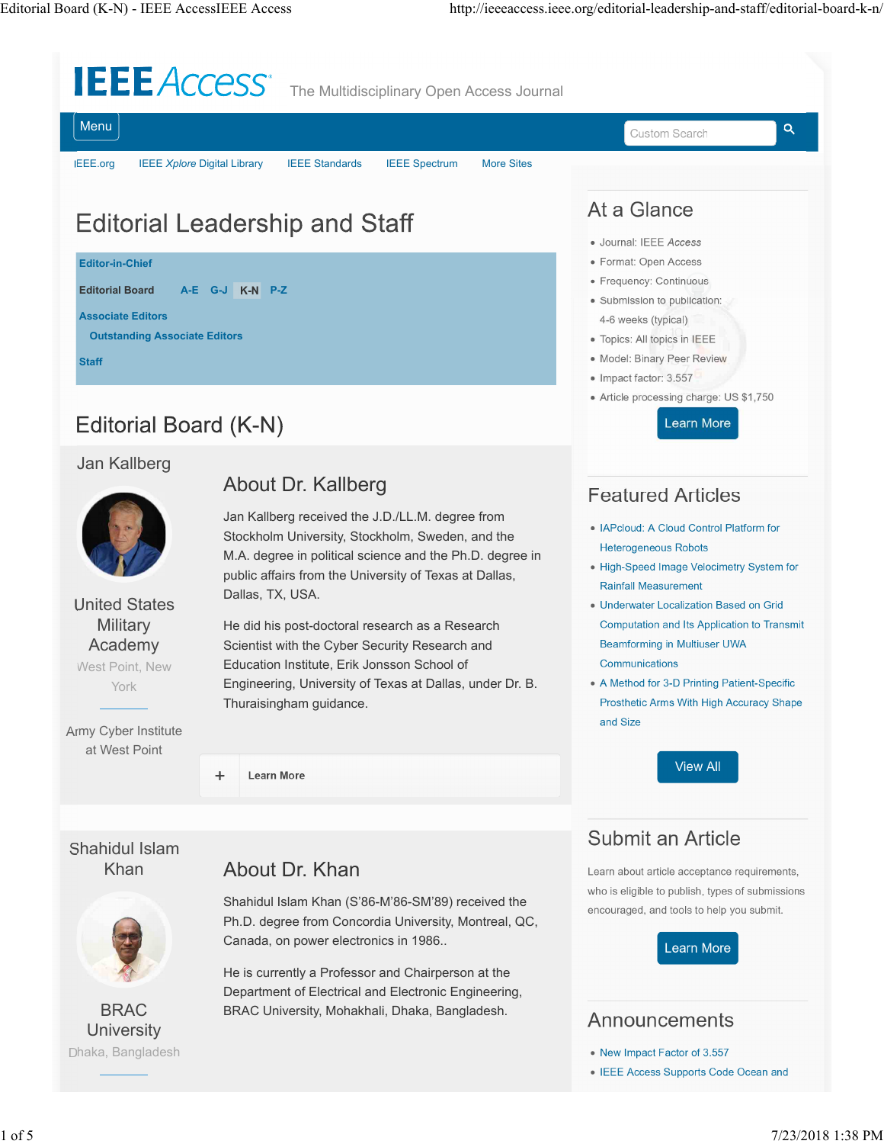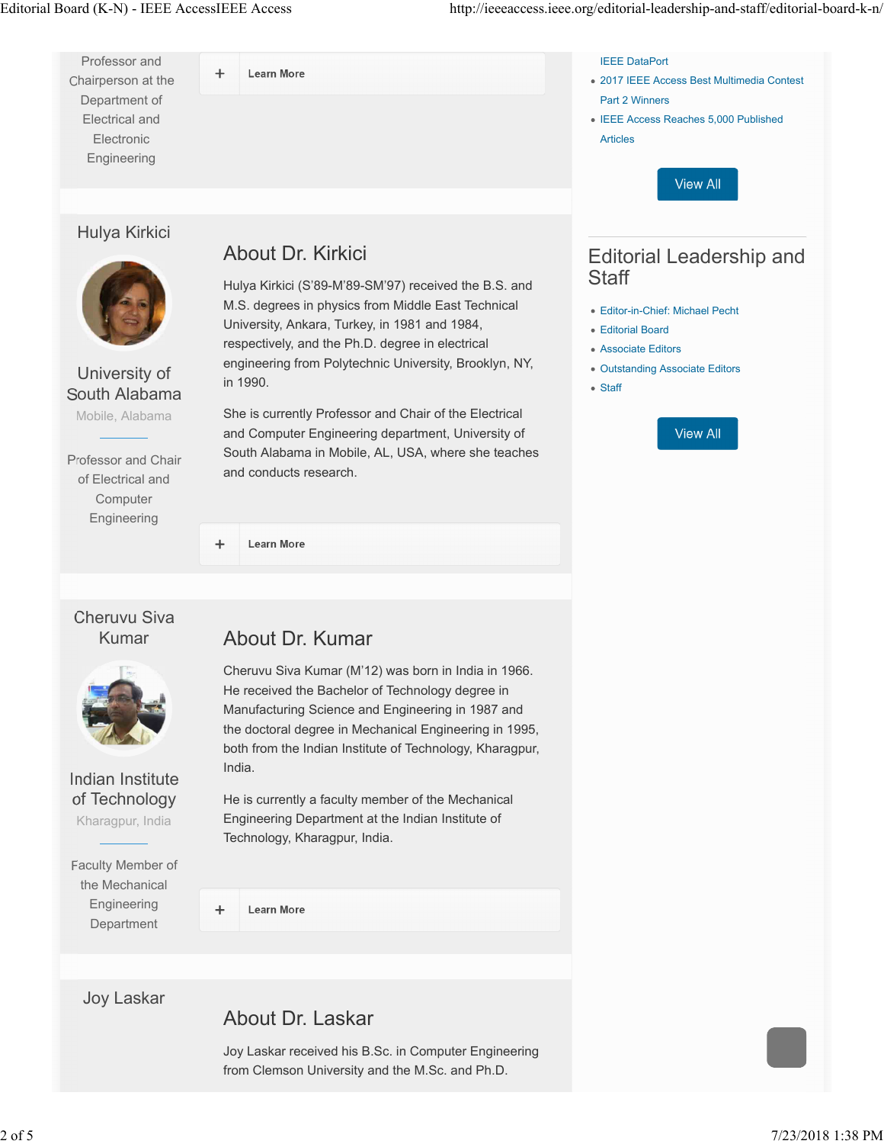

## About Dr. Laskar

Joy Laskar received his B.Sc. in Computer Engineering from Clemson University and the M.Sc. and Ph.D.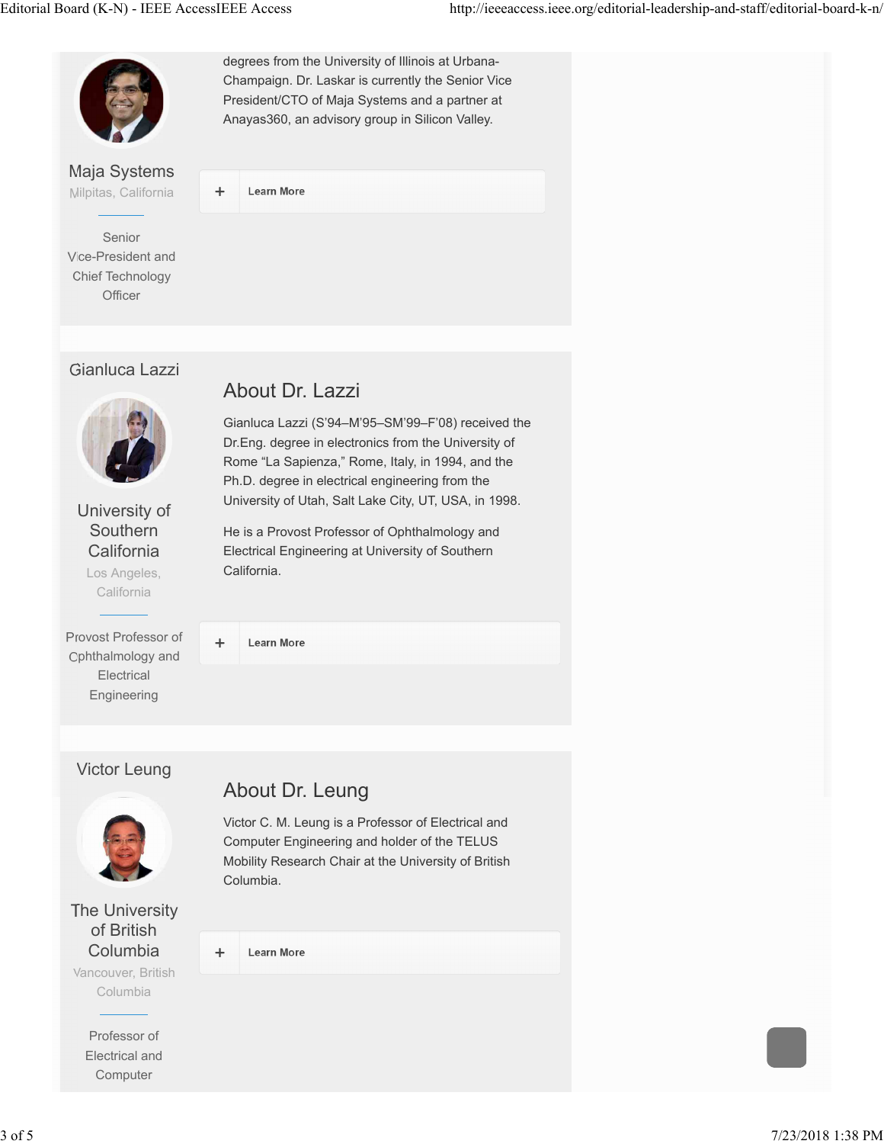

degrees from the University of Illinois at Urbana-Champaign. Dr. Laskar is currently the Senior Vice President/CTO of Maja Systems and a partner at Anayas360, an advisory group in Silicon Valley.

Maja Systems Milpitas, California

| + | <b>Learn More</b> |  |
|---|-------------------|--|

#### Senior Vice-President and Chief Technology **Officer**

## Gianluca Lazzi



### University of Southern **California** Los Angeles,

**California** 

Provost Professor of Ophthalmology and Electrical Engineering



Gianluca Lazzi (S'94–M'95–SM'99–F'08) received the Dr.Eng. degree in electronics from the University of Rome "La Sapienza," Rome, Italy, in 1994, and the Ph.D. degree in electrical engineering from the University of Utah, Salt Lake City, UT, USA, in 1998.

He is a Provost Professor of Ophthalmology and Electrical Engineering at University of Southern California.

| <b>Learn More</b> |  |  |  |
|-------------------|--|--|--|
|-------------------|--|--|--|

 $\ddot{}$ 

### Victor Leung



The University of British Columbia

Vancouver, British Columbia

> Professor of Electrical and Computer

# About Dr. Leung

Victor C. M. Leung is a Professor of Electrical and Computer Engineering and holder of the TELUS Mobility Research Chair at the University of British Columbia.

 $\ddot{}$ **Learn More**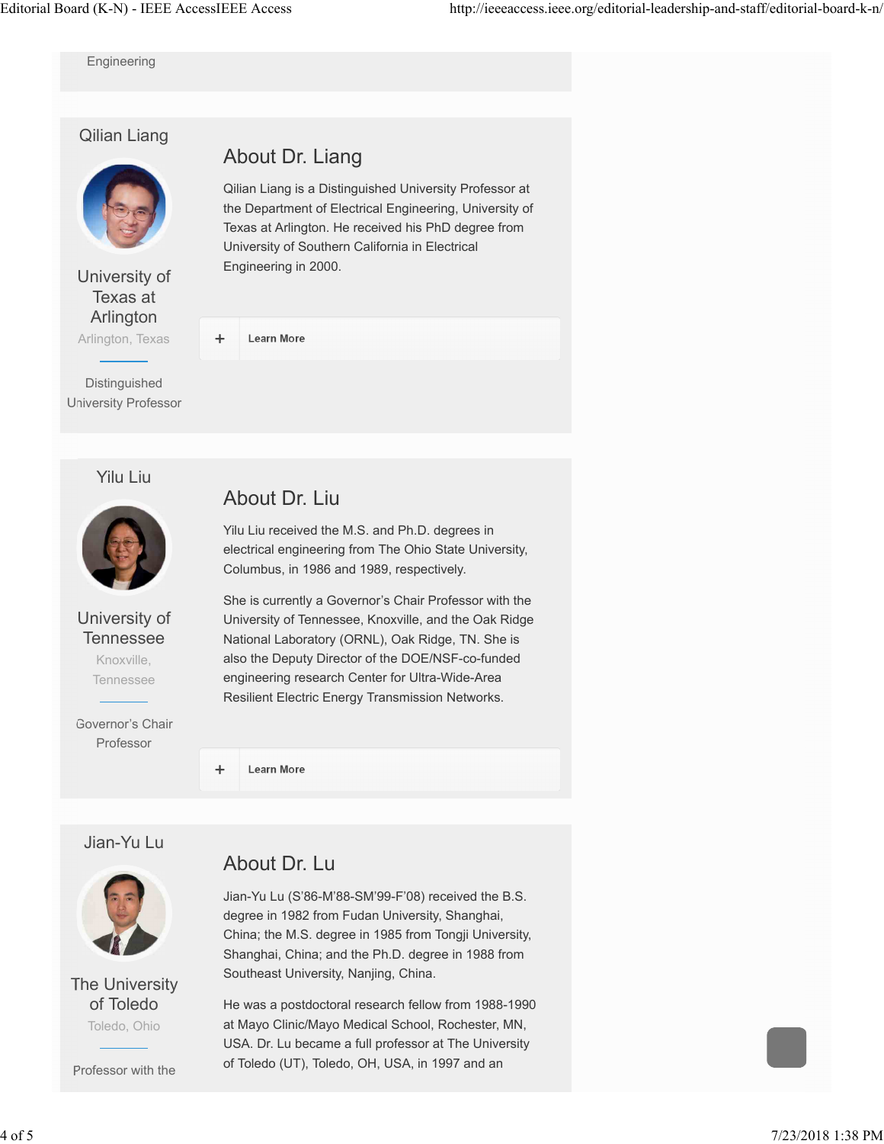Engineering

### Qilian Liang



University of Texas at Arlington Arlington, Texas

**Distinguished** University Professor

## About Dr. Liang

Qilian Liang is a Distinguished University Professor at the Department of Electrical Engineering, University of Texas at Arlington. He received his PhD degree from University of Southern California in Electrical Engineering in 2000.

| ÷ | <b>Learn More</b> |  |
|---|-------------------|--|

### Yilu Liu



#### University of **Tennessee** Knoxville, **Tennessee**

Governor's Chair Professor

## About Dr. Liu

Yilu Liu received the M.S. and Ph.D. degrees in electrical engineering from The Ohio State University, Columbus, in 1986 and 1989, respectively.

She is currently a Governor's Chair Professor with the University of Tennessee, Knoxville, and the Oak Ridge National Laboratory (ORNL), Oak Ridge, TN. She is also the Deputy Director of the DOE/NSF-co-funded engineering research Center for Ultra-Wide-Area Resilient Electric Energy Transmission Networks.

**Learn More** 

 $\ddot{}$ 

#### Jian-Yu Lu



### The University of Toledo Toledo, Ohio

Professor with the

## About Dr. Lu

Jian-Yu Lu (S'86-M'88-SM'99-F'08) received the B.S. degree in 1982 from Fudan University, Shanghai, China; the M.S. degree in 1985 from Tongji University, Shanghai, China; and the Ph.D. degree in 1988 from Southeast University, Nanjing, China.

He was a postdoctoral research fellow from 1988-1990 at Mayo Clinic/Mayo Medical School, Rochester, MN, USA. Dr. Lu became a full professor at The University of Toledo (UT), Toledo, OH, USA, in 1997 and an